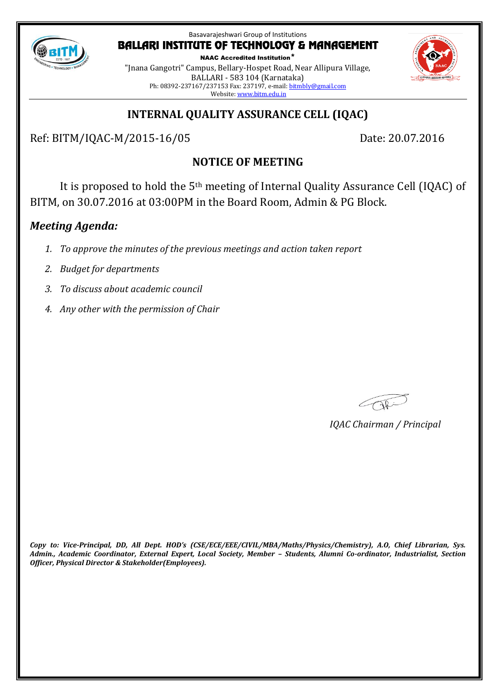

NAAC Accredited Institution\* "Jnana Gangotri" Campus, Bellary-Hospet Road, Near Allipura Village, BALLARI - 583 104 (Karnataka) Ph: 08392-237167/237153 Fax: 237197, e-mail[: bitmbly@gmail.com](mailto:bitmbly@gmail.com) Website[: www.bitm.edu.in](http://www.bec-bellary.com/)

# **INTERNAL QUALITY ASSURANCE CELL (IQAC)**

Ref: BITM/IQAC-M/2015-16/05 Date: 20.07.2016

## **NOTICE OF MEETING**

It is proposed to hold the 5th meeting of Internal Quality Assurance Cell (IQAC) of BITM, on 30.07.2016 at 03:00PM in the Board Room, Admin & PG Block.

## *Meeting Agenda:*

- *1. To approve the minutes of the previous meetings and action taken report*
- *2. Budget for departments*
- *3. To discuss about academic council*
- *4. Any other with the permission of Chair*

Capi

*IQAC Chairman / Principal*

*Copy to: Vice-Principal, DD, All Dept. HOD's (CSE/ECE/EEE/CIVIL/MBA/Maths/Physics/Chemistry), A.O, Chief Librarian, Sys. Admin., Academic Coordinator, External Expert, Local Society, Member – Students, Alumni Co-ordinator, Industrialist, Section Officer, Physical Director & Stakeholder(Employees).*

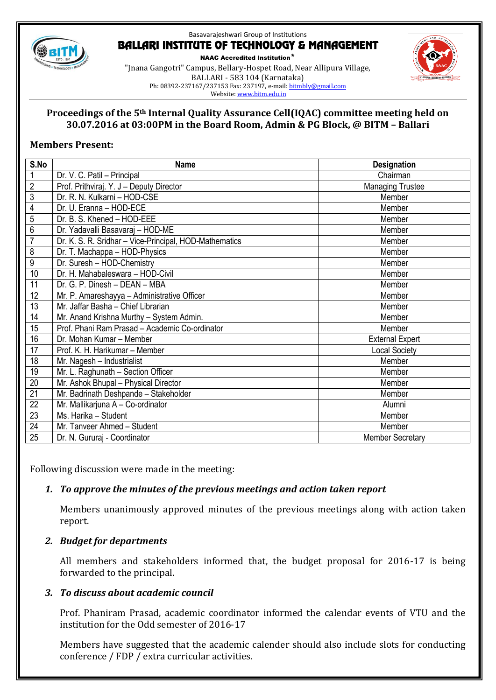

NAAC Accredited Institution\* "Jnana Gangotri" Campus, Bellary-Hospet Road, Near Allipura Village, BALLARI - 583 104 (Karnataka) Ph: 08392-237167/237153 Fax: 237197, e-mail[: bitmbly@gmail.com](mailto:bitmbly@gmail.com) Website[: www.bitm.edu.in](http://www.bec-bellary.com/)



### **Proceedings of the 5th Internal Quality Assurance Cell(IQAC) committee meeting held on 30.07.2016 at 03:00PM in the Board Room, Admin & PG Block, @ BITM – Ballari**

### **Members Present:**

| S.No            | <b>Name</b>                                            | <b>Designation</b>      |
|-----------------|--------------------------------------------------------|-------------------------|
| $\mathbf 1$     | Dr. V. C. Patil - Principal                            | Chairman                |
| $\overline{2}$  | Prof. Prithviraj. Y. J - Deputy Director               | <b>Managing Trustee</b> |
| $\overline{3}$  | Dr. R. N. Kulkarni - HOD-CSE                           | Member                  |
| 4               | Dr. U. Eranna - HOD-ECE                                | Member                  |
| 5               | Dr. B. S. Khened - HOD-EEE                             | Member                  |
| $\overline{6}$  | Dr. Yadavalli Basavaraj - HOD-ME                       | Member                  |
| $\overline{7}$  | Dr. K. S. R. Sridhar - Vice-Principal, HOD-Mathematics | Member                  |
| 8               | Dr. T. Machappa - HOD-Physics                          | Member                  |
| 9               | Dr. Suresh - HOD-Chemistry                             | Member                  |
| 10              | Dr. H. Mahabaleswara - HOD-Civil                       | Member                  |
| 11              | Dr. G. P. Dinesh - DEAN - MBA                          | Member                  |
| 12              | Mr. P. Amareshayya - Administrative Officer            | Member                  |
| 13              | Mr. Jaffar Basha - Chief Librarian                     | Member                  |
| 14              | Mr. Anand Krishna Murthy - System Admin.               | Member                  |
| 15              | Prof. Phani Ram Prasad - Academic Co-ordinator         | Member                  |
| 16              | Dr. Mohan Kumar - Member                               | <b>External Expert</b>  |
| 17              | Prof. K. H. Harikumar - Member                         | <b>Local Society</b>    |
| 18              | Mr. Nagesh - Industrialist                             | Member                  |
| 19              | Mr. L. Raghunath - Section Officer                     | Member                  |
| 20              | Mr. Ashok Bhupal - Physical Director                   | Member                  |
| 21              | Mr. Badrinath Deshpande - Stakeholder                  | Member                  |
| 22              | Mr. Mallikarjuna A - Co-ordinator                      | Alumni                  |
| $\overline{23}$ | Ms. Harika - Student                                   | Member                  |
| $\overline{24}$ | Mr. Tanveer Ahmed - Student                            | Member                  |
| 25              | Dr. N. Gururaj - Coordinator                           | <b>Member Secretary</b> |

Following discussion were made in the meeting:

## *1. To approve the minutes of the previous meetings and action taken report*

Members unanimously approved minutes of the previous meetings along with action taken report.

#### *2. Budget for departments*

All members and stakeholders informed that, the budget proposal for 2016-17 is being forwarded to the principal.

## *3. To discuss about academic council*

Prof. Phaniram Prasad, academic coordinator informed the calendar events of VTU and the institution for the Odd semester of 2016-17

Members have suggested that the academic calender should also include slots for conducting conference / FDP / extra curricular activities.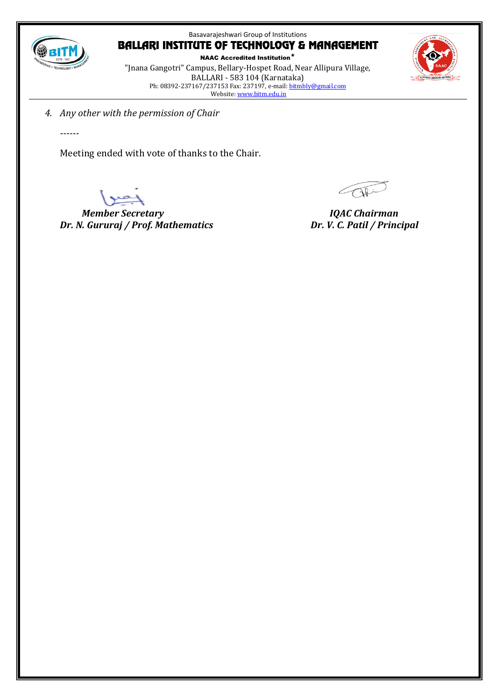

NAAC Accredited Institution\* "Jnana Gangotri" Campus, Bellary-Hospet Road, Near Allipura Village, BALLARI - 583 104 (Karnataka) Ph: 08392-237167/237153 Fax: 237197, e-mail: <u>bitmbly@gmail.com</u> Website[: www.bitm.edu.in](http://www.bec-bellary.com/)



*4. Any other with the permission of Chair*

*------*

Meeting ended with vote of thanks to the Chair.

 *Member Secretary IQAC Chairman Dr. N. Gururaj / Prof. Mathematics Dr. V. C. Patil / Principal*

OF